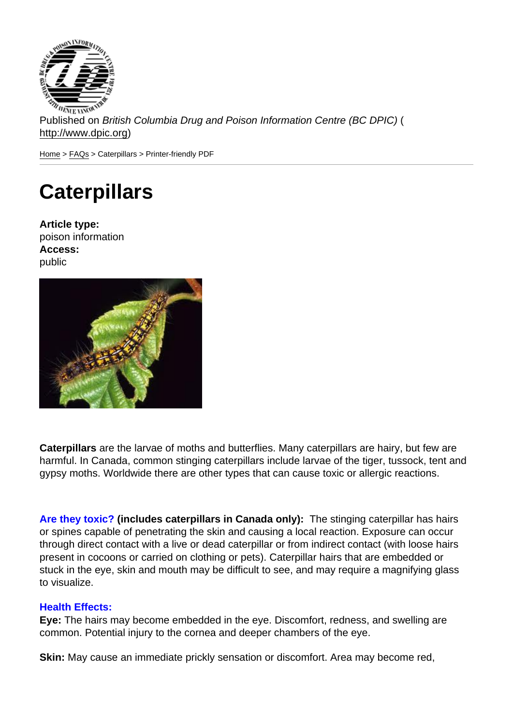Published on British Columbia Drug and Poison Information Centre (BC DPIC) ( http://www.dpic.org)

Home > FAQs > Caterpillars > Printer-friendly PDF

# **[Ca](http://www.dpic.org/)[ter](http://www.dpic.org/faq)pillars**

Article type: poison information Access: public

Caterpillars are the larvae of moths and butterflies. Many caterpillars are hairy, but few are harmful. In Canada, common stinging caterpillars include larvae of the tiger, tussock, tent and gypsy moths. Worldwide there are other types that can cause toxic or allergic reactions.

Are they toxic? (includes caterpillars in Canada only): The stinging caterpillar has hairs or spines capable of penetrating the skin and causing a local reaction. Exposure can occur through direct contact with a live or dead caterpillar or from indirect contact (with loose hairs present in cocoons or carried on clothing or pets). Caterpillar hairs that are embedded or stuck in the eye, skin and mouth may be difficult to see, and may require a magnifying glass to visualize.

#### Health Effects:

Eye: The hairs may become embedded in the eye. Discomfort, redness, and swelling are common. Potential injury to the cornea and deeper chambers of the eye.

Skin: May cause an immediate prickly sensation or discomfort. Area may become red,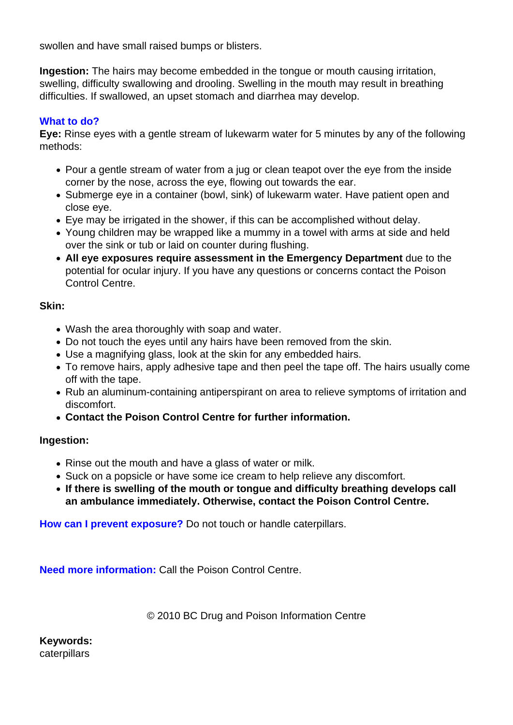swollen and have small raised bumps or blisters.

**Ingestion:** The hairs may become embedded in the tongue or mouth causing irritation, swelling, difficulty swallowing and drooling. Swelling in the mouth may result in breathing difficulties. If swallowed, an upset stomach and diarrhea may develop.

## **What to do?**

**Eye:** Rinse eyes with a gentle stream of lukewarm water for 5 minutes by any of the following methods:

- Pour a gentle stream of water from a jug or clean teapot over the eye from the inside corner by the nose, across the eye, flowing out towards the ear.
- Submerge eye in a container (bowl, sink) of lukewarm water. Have patient open and close eye.
- Eye may be irrigated in the shower, if this can be accomplished without delay.
- Young children may be wrapped like a mummy in a towel with arms at side and held over the sink or tub or laid on counter during flushing.
- **All eye exposures require assessment in the Emergency Department** due to the potential for ocular injury. If you have any questions or concerns contact the Poison Control Centre.

## **Skin:**

- Wash the area thoroughly with soap and water.
- Do not touch the eyes until any hairs have been removed from the skin.
- Use a magnifying glass, look at the skin for any embedded hairs.
- To remove hairs, apply adhesive tape and then peel the tape off. The hairs usually come off with the tape.
- Rub an aluminum-containing antiperspirant on area to relieve symptoms of irritation and discomfort.
- **Contact the Poison Control Centre for further information.**

## **Ingestion:**

- Rinse out the mouth and have a glass of water or milk.
- Suck on a popsicle or have some ice cream to help relieve any discomfort.
- **If there is swelling of the mouth or tongue and difficulty breathing develops call an ambulance immediately. Otherwise, contact the Poison Control Centre.**

**How can I prevent exposure?** Do not touch or handle caterpillars.

**Need more information:** Call the Poison Control Centre.

© 2010 BC Drug and Poison Information Centre

**Keywords:**  caterpillars